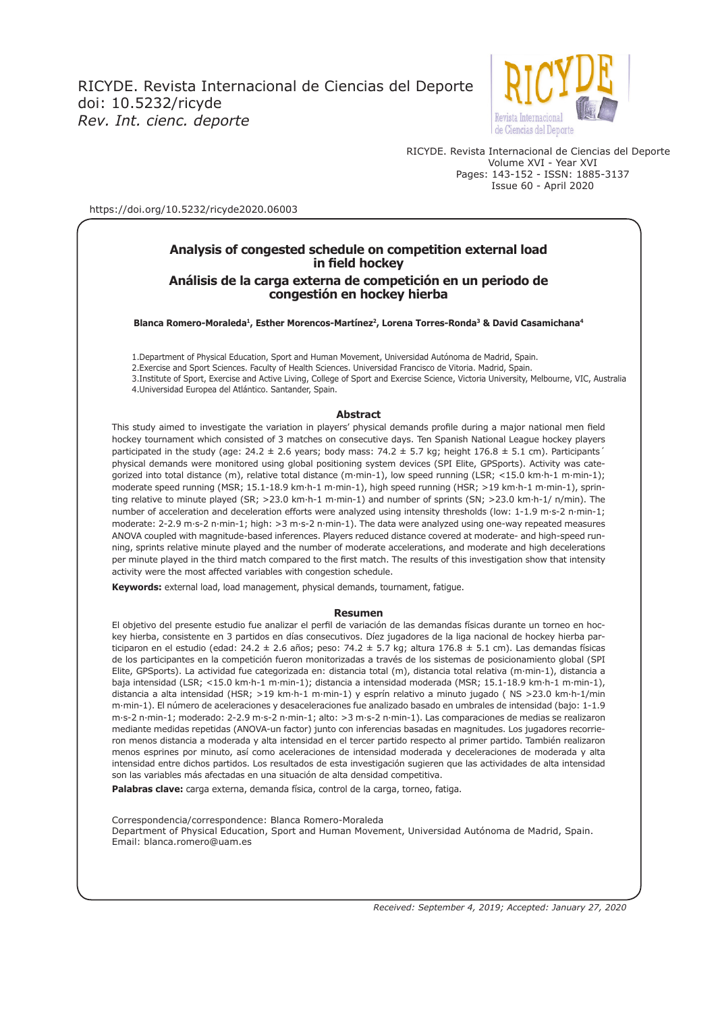

RICYDE. Revista Internacional de Ciencias del Deporte Volume XVI - Year XVI Pages: 143-152 - ISSN: 1885-3137 Issue 60 - April 2020

https://doi.org/10.5232/ricyde2020.06003

### **Analysis of congested schedule on competition external load in field hockey**

#### **Análisis de la carga externa de competición en un periodo de congestión en hockey hierba**

**Blanca Romero-Moraleda1, Esther Morencos-Martínez2, Lorena Torres-Ronda3 & David Casamichana4**

1.Department of Physical Education, Sport and Human Movement, Universidad Autónoma de Madrid, Spain.

2.Exercise and Sport Sciences. Faculty of Health Sciences. Universidad Francisco de Vitoria. Madrid, Spain.

 3.Institute of Sport, Exercise and Active Living, College of Sport and Exercise Science, Victoria University, Melbourne, VIC, Australia 4.Universidad Europea del Atlántico. Santander, Spain.

#### **Abstract**

This study aimed to investigate the variation in players' physical demands profile during a major national men field hockey tournament which consisted of 3 matches on consecutive days. Ten Spanish National League hockey players participated in the study (age:  $24.2 \pm 2.6$  years; body mass:  $74.2 \pm 5.7$  kg; height  $176.8 \pm 5.1$  cm). Participants' physical demands were monitored using global positioning system devices (SPI Elite, GPSports). Activity was categorized into total distance (m), relative total distance (m·min-1), low speed running (LSR; <15.0 km·h-1 m·min-1); moderate speed running (MSR; 15.1-18.9 km·h-1 m·min-1), high speed running (HSR; >19 km·h-1 m·min-1), sprinting relative to minute played (SR; >23.0 km·h-1 m·min-1) and number of sprints (SN; >23.0 km·h-1/ n/min). The number of acceleration and deceleration efforts were analyzed using intensity thresholds (low: 1-1.9 m·s-2 n·min-1; moderate: 2-2.9 m·s-2 n·min-1; high: >3 m·s-2 n·min-1). The data were analyzed using one-way repeated measures ANOVA coupled with magnitude-based inferences. Players reduced distance covered at moderate- and high-speed running, sprints relative minute played and the number of moderate accelerations, and moderate and high decelerations per minute played in the third match compared to the first match. The results of this investigation show that intensity activity were the most affected variables with congestion schedule.

**Keywords:** external load, load management, physical demands, tournament, fatigue.

#### **Resumen**

El objetivo del presente estudio fue analizar el perfil de variación de las demandas físicas durante un torneo en hockey hierba, consistente en 3 partidos en días consecutivos. Díez jugadores de la liga nacional de hockey hierba participaron en el estudio (edad:  $24.2 \pm 2.6$  años; peso:  $74.2 \pm 5.7$  kg; altura  $176.8 \pm 5.1$  cm). Las demandas físicas de los participantes en la competición fueron monitorizadas a través de los sistemas de posicionamiento global (SPI Elite, GPSports). La actividad fue categorizada en: distancia total (m), distancia total relativa (m·min-1), distancia a baja intensidad (LSR; <15.0 km·h-1 m·min-1); distancia a intensidad moderada (MSR; 15.1-18.9 km·h-1 m·min-1), distancia a alta intensidad (HSR; >19 km·h-1 m·min-1) y esprín relativo a minuto jugado ( NS >23.0 km·h-1/min m·min-1). El número de aceleraciones y desaceleraciones fue analizado basado en umbrales de intensidad (bajo: 1-1.9 m·s-2 n·min-1; moderado: 2-2.9 m·s-2 n·min-1; alto: >3 m·s-2 n·min-1). Las comparaciones de medias se realizaron mediante medidas repetidas (ANOVA-un factor) junto con inferencias basadas en magnitudes. Los jugadores recorrieron menos distancia a moderada y alta intensidad en el tercer partido respecto al primer partido. También realizaron menos esprines por minuto, así como aceleraciones de intensidad moderada y deceleraciones de moderada y alta intensidad entre dichos partidos. Los resultados de esta investigación sugieren que las actividades de alta intensidad son las variables más afectadas en una situación de alta densidad competitiva.

**Palabras clave:** carga externa, demanda física, control de la carga, torneo, fatiga.

Correspondencia/correspondence: Blanca Romero-Moraleda Department of Physical Education, Sport and Human Movement, Universidad Autónoma de Madrid, Spain. Email: blanca.romero@uam.es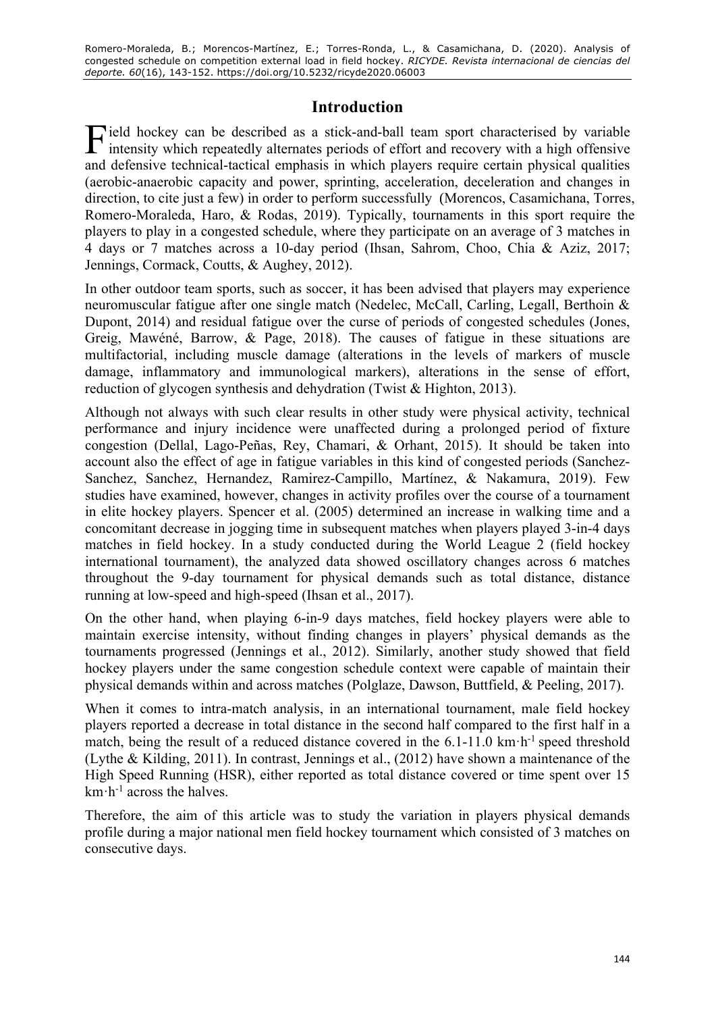# **Introduction**

Field hockey can be described as a stick-and-ball team sport characterised by variable intensity which repeatedly alternates periods of effort and recovery with a high offensive intensity which repeatedly alternates periods of effort and recovery with a high offensive and defensive technical-tactical emphasis in which players require certain physical qualities (aerobic-anaerobic capacity and power, sprinting, acceleration, deceleration and changes in direction, to cite just a few) in order to perform successfully (Morencos, Casamichana, Torres, Romero-Moraleda, Haro, & Rodas, 2019). Typically, tournaments in this sport require the players to play in a congested schedule, where they participate on an average of 3 matches in 4 days or 7 matches across a 10-day period (Ihsan, Sahrom, Choo, Chia & Aziz, 2017; Jennings, Cormack, Coutts, & Aughey, 2012).

In other outdoor team sports, such as soccer, it has been advised that players may experience neuromuscular fatigue after one single match (Nedelec, McCall, Carling, Legall, Berthoin & Dupont, 2014) and residual fatigue over the curse of periods of congested schedules (Jones, Greig, Mawéné, Barrow, & Page, 2018). The causes of fatigue in these situations are multifactorial, including muscle damage (alterations in the levels of markers of muscle damage, inflammatory and immunological markers), alterations in the sense of effort, reduction of glycogen synthesis and dehydration (Twist & Highton, 2013).

Although not always with such clear results in other study were physical activity, technical performance and injury incidence were unaffected during a prolonged period of fixture congestion (Dellal, Lago-Peñas, Rey, Chamari, & Orhant, 2015). It should be taken into account also the effect of age in fatigue variables in this kind of congested periods (Sanchez-Sanchez, Sanchez, Hernandez, Ramirez-Campillo, Martínez, & Nakamura, 2019). Few studies have examined, however, changes in activity profiles over the course of a tournament in elite hockey players. Spencer et al. (2005) determined an increase in walking time and a concomitant decrease in jogging time in subsequent matches when players played 3-in-4 days matches in field hockey. In a study conducted during the World League 2 (field hockey international tournament), the analyzed data showed oscillatory changes across 6 matches throughout the 9-day tournament for physical demands such as total distance, distance running at low-speed and high-speed (Ihsan et al., 2017).

On the other hand, when playing 6-in-9 days matches, field hockey players were able to maintain exercise intensity, without finding changes in players' physical demands as the tournaments progressed (Jennings et al., 2012). Similarly, another study showed that field hockey players under the same congestion schedule context were capable of maintain their physical demands within and across matches (Polglaze, Dawson, Buttfield, & Peeling, 2017).

When it comes to intra-match analysis, in an international tournament, male field hockey players reported a decrease in total distance in the second half compared to the first half in a match, being the result of a reduced distance covered in the  $6.1$ -11.0 km·h<sup>-1</sup> speed threshold (Lythe & Kilding, 2011). In contrast, Jennings et al., (2012) have shown a maintenance of the High Speed Running (HSR), either reported as total distance covered or time spent over 15 km·h-1 across the halves.

Therefore, the aim of this article was to study the variation in players physical demands profile during a major national men field hockey tournament which consisted of 3 matches on consecutive days.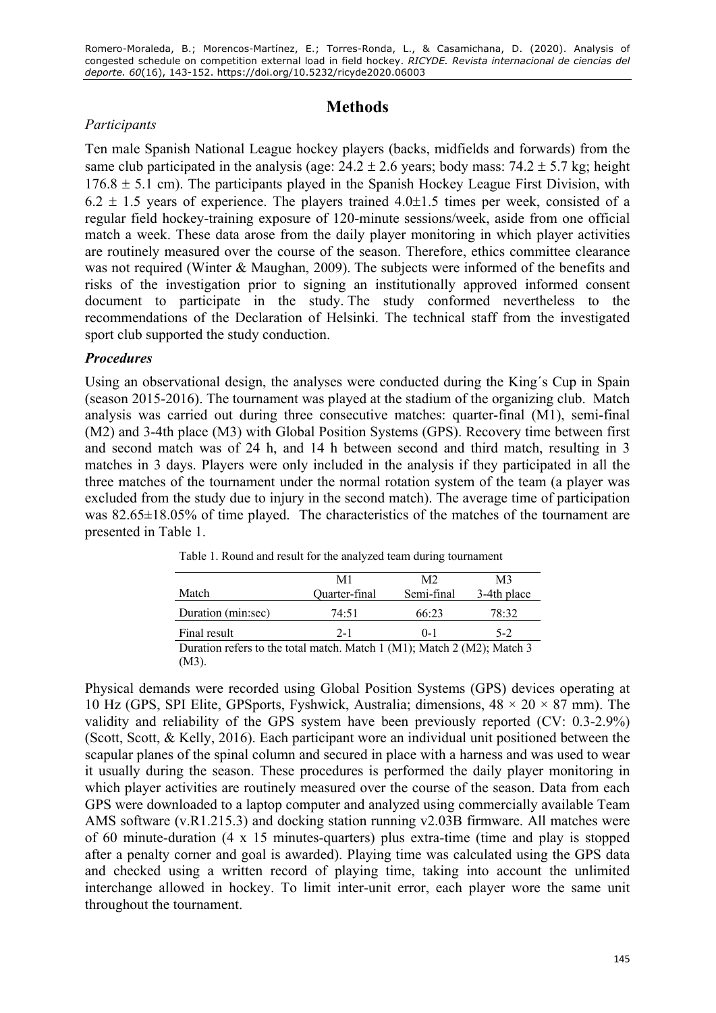# **Methods**

# *Participants*

Ten male Spanish National League hockey players (backs, midfields and forwards) from the same club participated in the analysis (age:  $24.2 \pm 2.6$  years; body mass:  $74.2 \pm 5.7$  kg; height  $176.8 \pm 5.1$  cm). The participants played in the Spanish Hockey League First Division, with  $6.2 \pm 1.5$  years of experience. The players trained  $4.0 \pm 1.5$  times per week, consisted of a regular field hockey-training exposure of 120-minute sessions/week, aside from one official match a week. These data arose from the daily player monitoring in which player activities are routinely measured over the course of the season. Therefore, ethics committee clearance was not required (Winter & Maughan, 2009). The subjects were informed of the benefits and risks of the investigation prior to signing an institutionally approved informed consent document to participate in the study. The study conformed nevertheless to the recommendations of the Declaration of Helsinki. The technical staff from the investigated sport club supported the study conduction.

## *Procedures*

Using an observational design, the analyses were conducted during the King´s Cup in Spain (season 2015-2016). The tournament was played at the stadium of the organizing club. Match analysis was carried out during three consecutive matches: quarter-final (M1), semi-final (M2) and 3-4th place (M3) with Global Position Systems (GPS). Recovery time between first and second match was of 24 h, and 14 h between second and third match, resulting in 3 matches in 3 days. Players were only included in the analysis if they participated in all the three matches of the tournament under the normal rotation system of the team (a player was excluded from the study due to injury in the second match). The average time of participation was 82.65 $\pm$ 18.05% of time played. The characteristics of the matches of the tournament are presented in Table 1.

|                                                                               | M1            | M2         | M3          |  |  |  |
|-------------------------------------------------------------------------------|---------------|------------|-------------|--|--|--|
| Match                                                                         | Quarter-final | Semi-final | 3-4th place |  |  |  |
| Duration (min:sec)                                                            | 74:51         | 66:23      | 78:32       |  |  |  |
| Final result                                                                  | $2 - 1$       | $() - 1$   | $5-2$       |  |  |  |
| Duration refers to the total metab. Match $1(M1)$ , Match $2(M2)$ , Match $2$ |               |            |             |  |  |  |

Table 1. Round and result for the analyzed team during tournament

Duration refers to the total match. Match 1 (M1); Match 2 (M2); Match 3 (M3).

Physical demands were recorded using Global Position Systems (GPS) devices operating at 10 Hz (GPS, SPI Elite, GPSports, Fyshwick, Australia; dimensions,  $48 \times 20 \times 87$  mm). The validity and reliability of the GPS system have been previously reported (CV: 0.3-2.9%) (Scott, Scott, & Kelly, 2016). Each participant wore an individual unit positioned between the scapular planes of the spinal column and secured in place with a harness and was used to wear it usually during the season. These procedures is performed the daily player monitoring in which player activities are routinely measured over the course of the season. Data from each GPS were downloaded to a laptop computer and analyzed using commercially available Team AMS software (v.R1.215.3) and docking station running v2.03B firmware. All matches were of 60 minute-duration  $(4 \times 15 \text{ minutes-quarters})$  plus extra-time (time and play is stopped after a penalty corner and goal is awarded). Playing time was calculated using the GPS data and checked using a written record of playing time, taking into account the unlimited interchange allowed in hockey. To limit inter-unit error, each player wore the same unit throughout the tournament.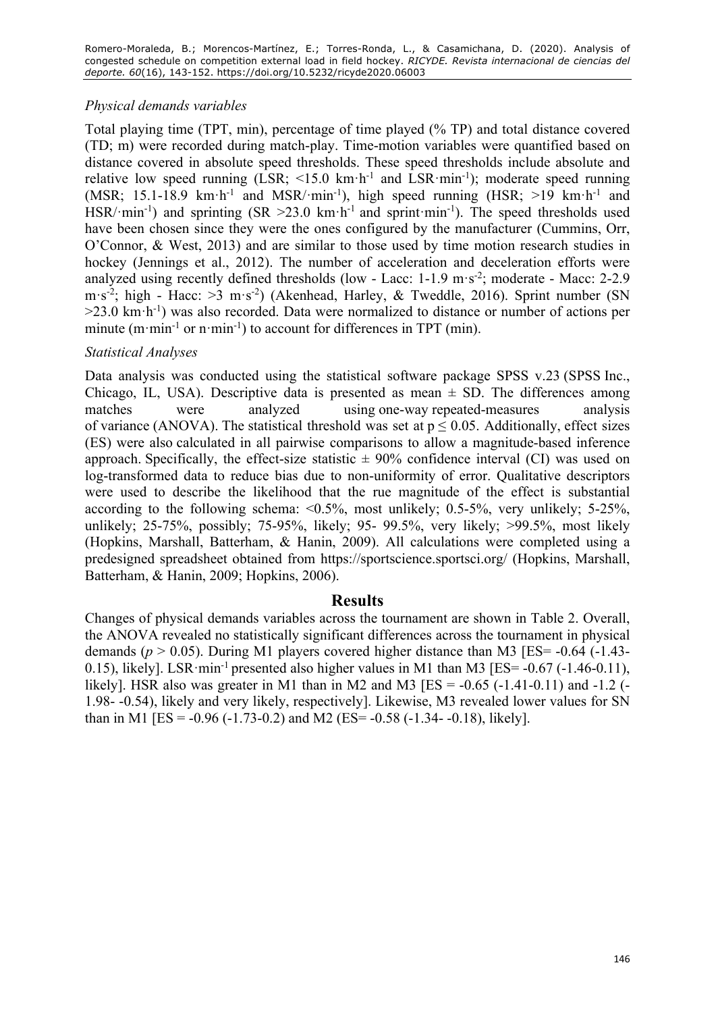# *Physical demands variables*

Total playing time (TPT, min), percentage of time played (% TP) and total distance covered (TD; m) were recorded during match-play. Time-motion variables were quantified based on distance covered in absolute speed thresholds. These speed thresholds include absolute and relative low speed running (LSR;  $\leq 15.0$  km·h<sup>-1</sup> and LSR·min<sup>-1</sup>); moderate speed running (MSR; 15.1-18.9 km·h<sup>-1</sup> and MSR/·min<sup>-1</sup>), high speed running (HSR; >19 km·h<sup>-1</sup> and HSR/·min<sup>-1</sup>) and sprinting (SR > 23.0 km·h<sup>-1</sup> and sprint·min<sup>-1</sup>). The speed thresholds used have been chosen since they were the ones configured by the manufacturer (Cummins, Orr, O'Connor, & West, 2013) and are similar to those used by time motion research studies in hockey (Jennings et al., 2012). The number of acceleration and deceleration efforts were analyzed using recently defined thresholds (low - Lacc: 1-1.9 m·s<sup>-2</sup>; moderate - Macc: 2-2.9 m·s<sup>-2</sup>; high - Hacc: >3 m·s<sup>-2</sup>) (Akenhead, Harley, & Tweddle, 2016). Sprint number (SN  $>23.0$  km $\cdot$ h<sup>-1</sup>) was also recorded. Data were normalized to distance or number of actions per minute  $(m \cdot min^{-1}$  or n $\cdot min^{-1})$  to account for differences in TPT (min).

## *Statistical Analyses*

Data analysis was conducted using the statistical software package SPSS v.23 (SPSS Inc., Chicago, IL, USA). Descriptive data is presented as mean  $\pm$  SD. The differences among matches were analyzed using one-way repeated-measures analysis of variance (ANOVA). The statistical threshold was set at  $p \le 0.05$ . Additionally, effect sizes (ES) were also calculated in all pairwise comparisons to allow a magnitude-based inference approach. Specifically, the effect-size statistic  $\pm$  90% confidence interval (CI) was used on log-transformed data to reduce bias due to non-uniformity of error. Qualitative descriptors were used to describe the likelihood that the rue magnitude of the effect is substantial according to the following schema: <0.5%, most unlikely; 0.5-5%, very unlikely; 5-25%, unlikely; 25-75%, possibly; 75-95%, likely; 95- 99.5%, very likely; >99.5%, most likely (Hopkins, Marshall, Batterham, & Hanin, 2009). All calculations were completed using a predesigned spreadsheet obtained from https://sportscience.sportsci.org/ (Hopkins, Marshall, Batterham, & Hanin, 2009; Hopkins, 2006).

## **Results**

Changes of physical demands variables across the tournament are shown in Table 2. Overall, the ANOVA revealed no statistically significant differences across the tournament in physical demands ( $p > 0.05$ ). During M1 players covered higher distance than M3 [ES= -0.64 (-1.43-0.15), likely]. LSR·min<sup>-1</sup> presented also higher values in M1 than M3 [ES=  $-0.67$  ( $-1.46$ -0.11), likely]. HSR also was greater in M1 than in M2 and M3 [ES =  $-0.65$  ( $-1.41-0.11$ ) and  $-1.2$  ( $-$ 1.98- -0.54), likely and very likely, respectively]. Likewise, M3 revealed lower values for SN than in M1 [ES =  $-0.96$  ( $-1.73-0.2$ ) and M2 (ES =  $-0.58$  ( $-1.34-0.18$ ), likely].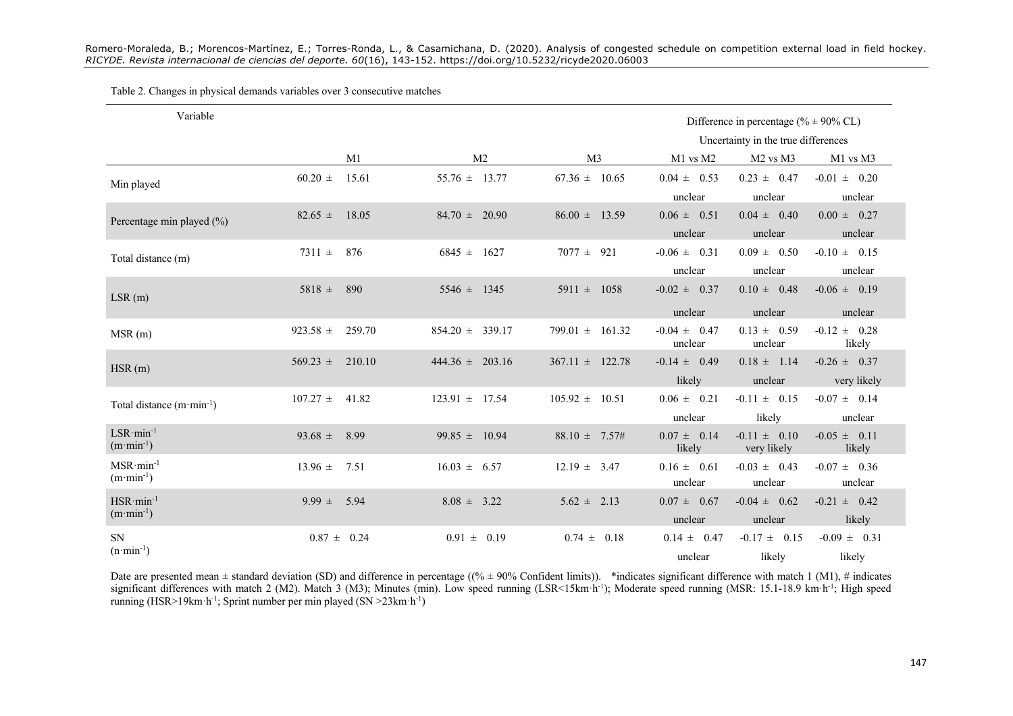#### Table 2. Changes in physical demands variables over 3 consecutive matches

| Variable                                   |                 |                                     |                     |                     |                                       | Difference in percentage (% $\pm$ 90% CL) |                                 |
|--------------------------------------------|-----------------|-------------------------------------|---------------------|---------------------|---------------------------------------|-------------------------------------------|---------------------------------|
|                                            |                 | Uncertainty in the true differences |                     |                     |                                       |                                           |                                 |
|                                            |                 | M1                                  | M <sub>2</sub>      | M <sub>3</sub>      | $M1$ vs $M2$                          | M <sub>2</sub> vs M <sub>3</sub>          | M1 vs M3                        |
| Min played                                 | $60.20 \pm$     | 15.61                               | $55.76 \pm 13.77$   | $67.36 \pm 10.65$   | $0.04\,\pm\phantom{0}0.53$<br>unclear | $0.23 \pm 0.47$<br>unclear                | $-0.01 \pm 0.20$<br>unclear     |
| Percentage min played (%)                  | $82.65 \pm$     | 18.05                               | $84.70 \pm 20.90$   | $86.00 \pm 13.59$   | $0.06 \pm 0.51$<br>unclear            | $0.04 \pm 0.40$<br>unclear                | $0.00 \pm 0.27$<br>unclear      |
| Total distance (m)                         | 7311 $\pm$      | 876                                 | $6845 \pm 1627$     | 921<br>$7077 \pm$   | $-0.06 \pm 0.31$<br>unclear           | $0.09 \pm 0.50$<br>unclear                | $-0.10 \pm 0.15$<br>unclear     |
| LSR(m)                                     | $5818 \pm$      | 890                                 | $5546 \pm 1345$     | $5911 \pm 1058$     | $-0.02 \pm 0.37$<br>unclear           | $0.10 \pm 0.48$<br>unclear                | $-0.06 \pm 0.19$<br>unclear     |
| MSR(m)                                     | $923.58 \pm$    | 259.70                              | $854.20 \pm 339.17$ | $799.01 \pm 161.32$ | $-0.04 \pm 0.47$<br>unclear           | $0.13 \pm 0.59$<br>unclear                | $-0.12 \pm 0.28$<br>likely      |
| HSR(m)                                     | $569.23 \pm$    | 210.10                              | $444.36 \pm 203.16$ | $367.11 \pm 122.78$ | $-0.14 \pm 0.49$<br>likely            | $0.18 \pm 1.14$<br>unclear                | $-0.26 \pm 0.37$<br>very likely |
| Total distance $(m \cdot min^{-1})$        | $107.27 \pm$    | 41.82                               | $123.91 \pm 17.54$  | $105.92 \pm 10.51$  | $0.06 \pm 0.21$<br>unclear            | $-0.11 \pm 0.15$<br>likely                | $-0.07 \pm 0.14$<br>unclear     |
| $LSR·min-1$<br>$(m \cdot \text{min}^{-1})$ | 93.68 $\pm$     | 8.99                                | $99.85 \pm 10.94$   | $88.10 \pm 7.57\#$  | $0.07 \pm 0.14$<br>likely             | $-0.11 \pm 0.10$<br>very likely           | $-0.05 \pm 0.11$<br>likely      |
| $MSR·min-1$<br>$(m \cdot \text{min}^{-1})$ | 13.96 $\pm$     | 7.51                                | $16.03 \pm 6.57$    | $12.19 \pm 3.47$    | $0.16 \pm 0.61$<br>unclear            | $-0.03 \pm 0.43$<br>unclear               | $-0.07 \pm 0.36$<br>unclear     |
| $HSR·min-1$<br>$(m \cdot \text{min}^{-1})$ | $9.99 \pm$      | 5.94                                | $8.08 \pm 3.22$     | $5.62 \pm 2.13$     | $0.07 \pm 0.67$<br>unclear            | $-0.04 \pm 0.62$<br>unclear               | $-0.21 \pm 0.42$<br>likely      |
| SN<br>$(n \cdot \text{min}^{-1})$          | $0.87 \pm 0.24$ |                                     | $0.91 \pm 0.19$     | $0.74 \pm 0.18$     | $0.14 \pm 0.47$<br>unclear            | $-0.17 \pm 0.15$<br>likely                | $-0.09 \pm 0.31$<br>likely      |

Date are presented mean  $\pm$  standard deviation (SD) and difference in percentage ((%  $\pm$  90% Confident limits)). \*indicates significant difference with match 1 (M1), # indicates significant differences with match 2 (M2). Match 3 (M3); Minutes (min). Low speed running (LSR<15km·h<sup>-1</sup>); Moderate speed running (MSR: 15.1-18.9 km·h<sup>-1</sup>; High speed running (HSR>19km·h<sup>-1</sup>; Sprint number per min played (SN >23km·h<sup>-1</sup>)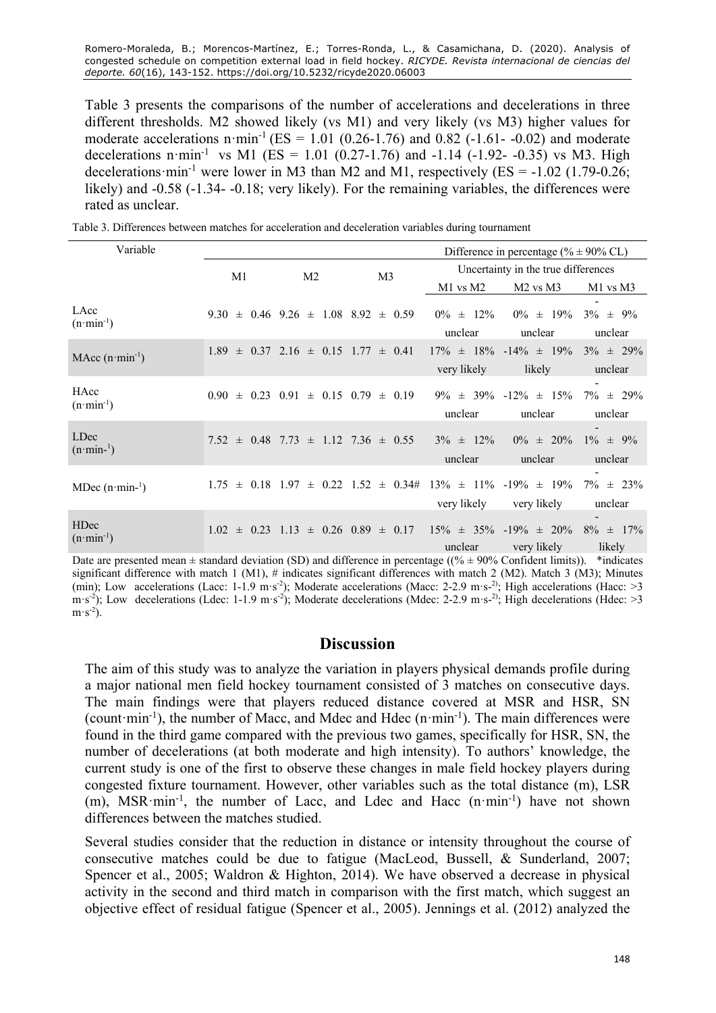Table 3 presents the comparisons of the number of accelerations and decelerations in three different thresholds. M2 showed likely (vs M1) and very likely (vs M3) higher values for moderate accelerations  $n \cdot min^{-1} (ES = 1.01 (0.26 - 1.76)$  and 0.82 (-1.61- -0.02) and moderate decelerations n·min<sup>-1</sup> vs M1 (ES = 1.01 (0.27-1.76) and -1.14 (-1.92- -0.35) vs M3. High decelerations  $\text{min}^{-1}$  were lower in M3 than M2 and M1, respectively (ES = -1.02 (1.79-0.26; likely) and -0.58 (-1.34- -0.18; very likely). For the remaining variables, the differences were rated as unclear.

Table 3. Differences between matches for acceleration and deceleration variables during tournament

| Variable                                   |                      |                                                 |                                                                                   | Difference in percentage (% $\pm$ 90% CL) |                                                |                           |  |
|--------------------------------------------|----------------------|-------------------------------------------------|-----------------------------------------------------------------------------------|-------------------------------------------|------------------------------------------------|---------------------------|--|
|                                            | M1<br>M <sub>2</sub> |                                                 | M <sub>3</sub>                                                                    | Uncertainty in the true differences       |                                                |                           |  |
|                                            |                      |                                                 |                                                                                   | M1 vs M2                                  | M <sub>2</sub> vs M <sub>3</sub>               | M1 vs M3                  |  |
| LAcc<br>$(n \cdot \text{min}^{-1})$        |                      | $9.30 \pm 0.46$ $9.26 \pm 1.08$ $8.92 \pm 0.59$ |                                                                                   | $0\% \pm 12\%$<br>unclear                 | $0\% \pm 19\%$<br>unclear                      | $3\% \pm 9\%$<br>unclear  |  |
| MAcc $(n \cdot min^{-1})$                  |                      | $1.89 \pm 0.37$ $2.16 \pm 0.15$ $1.77 \pm 0.41$ |                                                                                   | very likely                               | $17\% \pm 18\%$ -14% $\pm 19\%$<br>likely      | $3\% \pm 29\%$<br>unclear |  |
| HAcc<br>$(n \cdot \text{min}^{-1})$        |                      | $0.90 \pm 0.23$ $0.91 \pm 0.15$ $0.79 \pm 0.19$ |                                                                                   | unclear                                   | $9\% \pm 39\% -12\% \pm 15\%$<br>unclear       | $7\% \pm 29\%$<br>unclear |  |
| LDec<br>$(n \cdot \text{min}^{-1})$        |                      | $7.52 \pm 0.48$ $7.73 \pm 1.12$ $7.36 \pm 0.55$ |                                                                                   | $3\% \pm 12\%$<br>unclear                 | $0\% \pm 20\%$<br>unclear                      | $1\% \pm 9\%$<br>unclear  |  |
| MDec $(n \cdot min^{-1})$                  |                      |                                                 | $1.75 \pm 0.18$ $1.97 \pm 0.22$ $1.52 \pm 0.34$ # $13\% \pm 11\%$ -19% $\pm 19\%$ | very likely                               | very likely                                    | $7\% \pm 23\%$<br>unclear |  |
| <b>HDec</b><br>$(n \cdot \text{min}^{-1})$ | $1.02 \pm 0.23$ 1.13 |                                                 | $\pm$ 0.26 0.89 $\pm$ 0.17                                                        | unclear                                   | $15\% \pm 35\%$ -19% $\pm 20\%$<br>very likely | $8\% \pm 17\%$<br>likely  |  |

Date are presented mean  $\pm$  standard deviation (SD) and difference in percentage ((%  $\pm$  90% Confident limits)). \*indicates significant difference with match 1 (M1), # indicates significant differences with match 2 (M2). Match 3 (M3); Minutes (min); Low accelerations (Lacc: 1-1.9 m·s<sup>-2</sup>); Moderate accelerations (Macc: 2-2.9 m·s-<sup>2)</sup>; High accelerations (Hacc: >3  $\text{m·s}^2$ ); Low decelerations (Ldec: 1-1.9 m·s<sup>-2</sup>); Moderate decelerations (Mdec: 2-2.9 m·s-<sup>2)</sup>; High decelerations (Hdec: >3  $m \cdot s^{-2}$ ).

#### **Discussion**

The aim of this study was to analyze the variation in players physical demands profile during a major national men field hockey tournament consisted of 3 matches on consecutive days. The main findings were that players reduced distance covered at MSR and HSR, SN (count  $\text{min}^{-1}$ ), the number of Macc, and Mdec and Hdec (n $\text{min}^{-1}$ ). The main differences were found in the third game compared with the previous two games, specifically for HSR, SN, the number of decelerations (at both moderate and high intensity). To authors' knowledge, the current study is one of the first to observe these changes in male field hockey players during congested fixture tournament. However, other variables such as the total distance (m), LSR (m), MSR·min<sup>-1</sup>, the number of Lacc, and Ldec and Hacc (n·min<sup>-1</sup>) have not shown differences between the matches studied.

Several studies consider that the reduction in distance or intensity throughout the course of consecutive matches could be due to fatigue (MacLeod, Bussell, & Sunderland, 2007; Spencer et al., 2005; Waldron & Highton, 2014). We have observed a decrease in physical activity in the second and third match in comparison with the first match, which suggest an objective effect of residual fatigue (Spencer et al., 2005). Jennings et al. (2012) analyzed the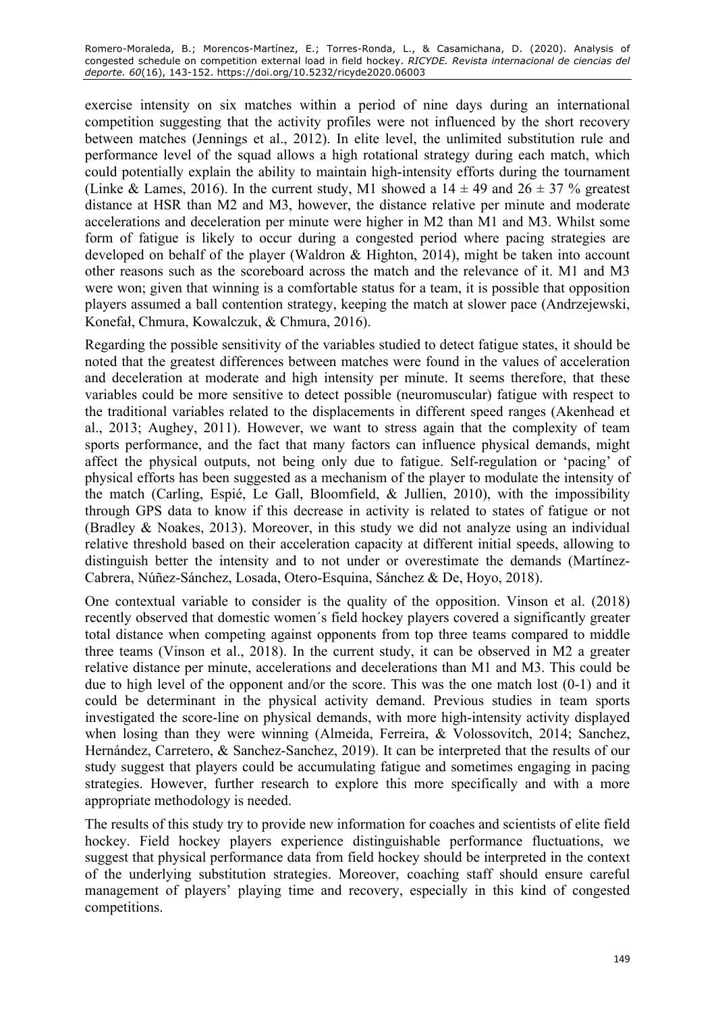exercise intensity on six matches within a period of nine days during an international competition suggesting that the activity profiles were not influenced by the short recovery between matches (Jennings et al., 2012). In elite level, the unlimited substitution rule and performance level of the squad allows a high rotational strategy during each match, which could potentially explain the ability to maintain high-intensity efforts during the tournament (Linke & Lames, 2016). In the current study, M1 showed a  $14 \pm 49$  and  $26 \pm 37$  % greatest distance at HSR than M2 and M3, however, the distance relative per minute and moderate accelerations and deceleration per minute were higher in M2 than M1 and M3. Whilst some form of fatigue is likely to occur during a congested period where pacing strategies are developed on behalf of the player (Waldron & Highton, 2014), might be taken into account other reasons such as the scoreboard across the match and the relevance of it. M1 and M3 were won; given that winning is a comfortable status for a team, it is possible that opposition players assumed a ball contention strategy, keeping the match at slower pace (Andrzejewski, Konefał, Chmura, Kowalczuk, & Chmura, 2016).

Regarding the possible sensitivity of the variables studied to detect fatigue states, it should be noted that the greatest differences between matches were found in the values of acceleration and deceleration at moderate and high intensity per minute. It seems therefore, that these variables could be more sensitive to detect possible (neuromuscular) fatigue with respect to the traditional variables related to the displacements in different speed ranges (Akenhead et al., 2013; Aughey, 2011). However, we want to stress again that the complexity of team sports performance, and the fact that many factors can influence physical demands, might affect the physical outputs, not being only due to fatigue. Self-regulation or 'pacing' of physical efforts has been suggested as a mechanism of the player to modulate the intensity of the match (Carling, Espié, Le Gall, Bloomfield, & Jullien, 2010), with the impossibility through GPS data to know if this decrease in activity is related to states of fatigue or not (Bradley & Noakes, 2013). Moreover, in this study we did not analyze using an individual relative threshold based on their acceleration capacity at different initial speeds, allowing to distinguish better the intensity and to not under or overestimate the demands (Martínez-Cabrera, Núñez-Sánchez, Losada, Otero-Esquina, Sánchez & De, Hoyo, 2018).

One contextual variable to consider is the quality of the opposition. Vinson et al. (2018) recently observed that domestic women´s field hockey players covered a significantly greater total distance when competing against opponents from top three teams compared to middle three teams (Vinson et al., 2018). In the current study, it can be observed in M2 a greater relative distance per minute, accelerations and decelerations than M1 and M3. This could be due to high level of the opponent and/or the score. This was the one match lost (0-1) and it could be determinant in the physical activity demand. Previous studies in team sports investigated the score-line on physical demands, with more high-intensity activity displayed when losing than they were winning (Almeida, Ferreira, & Volossovitch, 2014; Sanchez, Hernández, Carretero, & Sanchez-Sanchez, 2019). It can be interpreted that the results of our study suggest that players could be accumulating fatigue and sometimes engaging in pacing strategies. However, further research to explore this more specifically and with a more appropriate methodology is needed.

The results of this study try to provide new information for coaches and scientists of elite field hockey. Field hockey players experience distinguishable performance fluctuations, we suggest that physical performance data from field hockey should be interpreted in the context of the underlying substitution strategies. Moreover, coaching staff should ensure careful management of players' playing time and recovery, especially in this kind of congested competitions.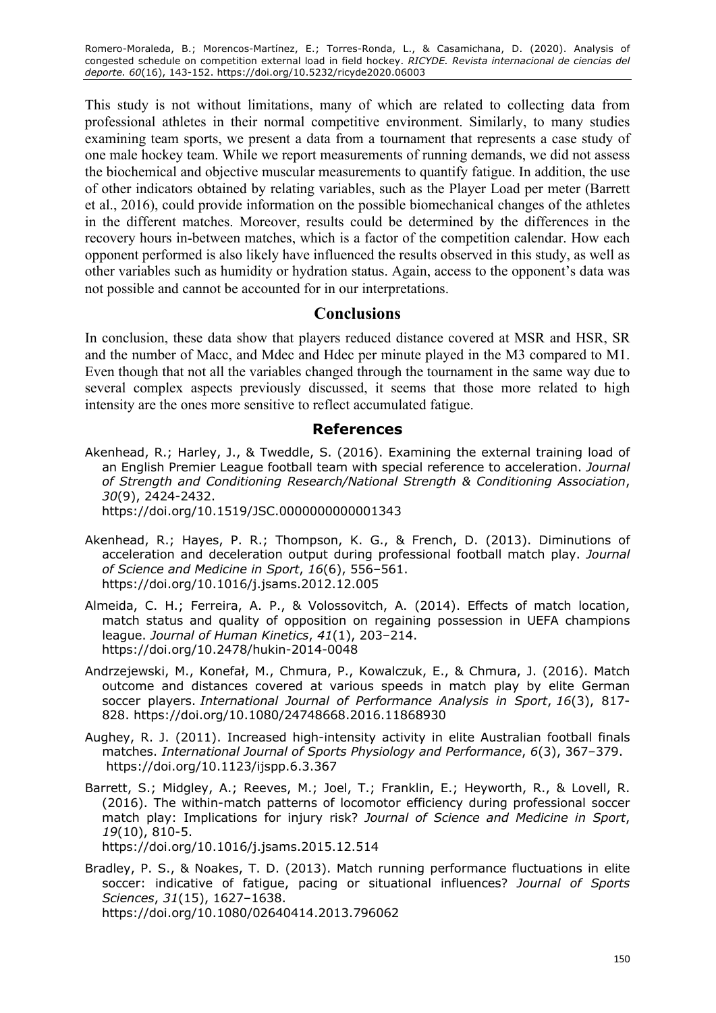Romero-Moraleda, B.; Morencos-Martínez, E.; Torres-Ronda, L., & Casamichana, D. (2020). Analysis of congested schedule on competition external load in field hockey. *RICYDE. Revista internacional de ciencias del deporte. 60*(16), 143-152. https://doi.org/10.5232/ricyde2020.06003

This study is not without limitations, many of which are related to collecting data from professional athletes in their normal competitive environment. Similarly, to many studies examining team sports, we present a data from a tournament that represents a case study of one male hockey team. While we report measurements of running demands, we did not assess the biochemical and objective muscular measurements to quantify fatigue. In addition, the use of other indicators obtained by relating variables, such as the Player Load per meter (Barrett et al., 2016), could provide information on the possible biomechanical changes of the athletes in the different matches. Moreover, results could be determined by the differences in the recovery hours in-between matches, which is a factor of the competition calendar. How each opponent performed is also likely have influenced the results observed in this study, as well as other variables such as humidity or hydration status. Again, access to the opponent's data was not possible and cannot be accounted for in our interpretations.

# **Conclusions**

In conclusion, these data show that players reduced distance covered at MSR and HSR, SR and the number of Macc, and Mdec and Hdec per minute played in the M3 compared to M1. Even though that not all the variables changed through the tournament in the same way due to several complex aspects previously discussed, it seems that those more related to high intensity are the ones more sensitive to reflect accumulated fatigue.

### **References**

- Akenhead, R.; Harley, J., & Tweddle, S. (2016). Examining the external training load of an English Premier League football team with special reference to acceleration. *Journal of Strength and Conditioning Research/National Strength & Conditioning Association*, *30*(9), 2424-2432. https://doi.org/10.1519/JSC.0000000000001343
- Akenhead, R.; Hayes, P. R.; Thompson, K. G., & French, D. (2013). Diminutions of acceleration and deceleration output during professional football match play. *Journal of Science and Medicine in Sport*, *16*(6), 556–561. https://doi.org/10.1016/j.jsams.2012.12.005
- Almeida, C. H.; Ferreira, A. P., & Volossovitch, A. (2014). Effects of match location, match status and quality of opposition on regaining possession in UEFA champions league. *Journal of Human Kinetics*, *41*(1), 203–214. https://doi.org/10.2478/hukin-2014-0048
- Andrzejewski, M., Konefał, M., Chmura, P., Kowalczuk, E., & Chmura, J. (2016). Match outcome and distances covered at various speeds in match play by elite German soccer players. *International Journal of Performance Analysis in Sport*, *16*(3), 817- 828. https://doi.org/10.1080/24748668.2016.11868930
- Aughey, R. J. (2011). Increased high-intensity activity in elite Australian football finals matches. *International Journal of Sports Physiology and Performance*, *6*(3), 367–379. https://doi.org/10.1123/ijspp.6.3.367
- Barrett, S.; Midgley, A.; Reeves, M.; Joel, T.; Franklin, E.; Heyworth, R., & Lovell, R. (2016). The within-match patterns of locomotor efficiency during professional soccer match play: Implications for injury risk? *Journal of Science and Medicine in Sport*, *19*(10), 810-5.

https://doi.org/10.1016/j.jsams.2015.12.514

Bradley, P. S., & Noakes, T. D. (2013). Match running performance fluctuations in elite soccer: indicative of fatigue, pacing or situational influences? *Journal of Sports Sciences*, *31*(15), 1627–1638.

https://doi.org/10.1080/02640414.2013.796062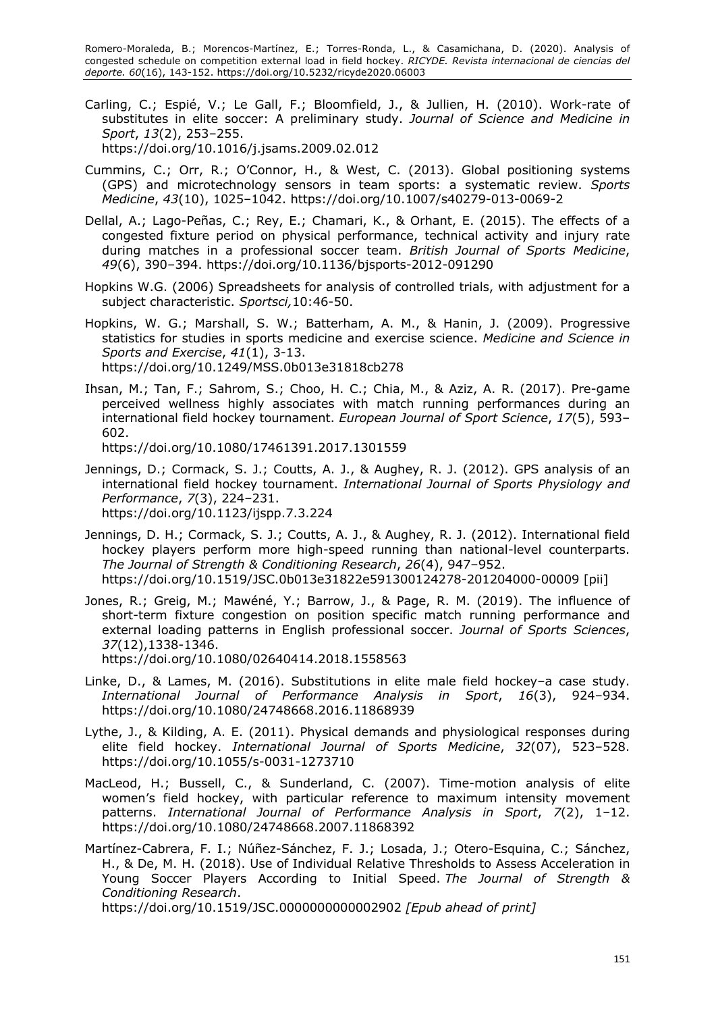Romero-Moraleda, B.; Morencos-Martínez, E.; Torres-Ronda, L., & Casamichana, D. (2020). Analysis of congested schedule on competition external load in field hockey. *RICYDE. Revista internacional de ciencias del deporte. 60*(16), 143-152. https://doi.org/10.5232/ricyde2020.06003

- Carling, C.; Espié, V.; Le Gall, F.; Bloomfield, J., & Jullien, H. (2010). Work-rate of substitutes in elite soccer: A preliminary study. *Journal of Science and Medicine in Sport*, *13*(2), 253–255. https://doi.org/10.1016/j.jsams.2009.02.012
- Cummins, C.; Orr, R.; O'Connor, H., & West, C. (2013). Global positioning systems (GPS) and microtechnology sensors in team sports: a systematic review. *Sports Medicine*, *43*(10), 1025–1042. https://doi.org/10.1007/s40279-013-0069-2
- Dellal, A.; Lago-Peñas, C.; Rey, E.; Chamari, K., & Orhant, E. (2015). The effects of a congested fixture period on physical performance, technical activity and injury rate during matches in a professional soccer team. *British Journal of Sports Medicine*, *49*(6), 390–394. https://doi.org/10.1136/bjsports-2012-091290
- Hopkins W.G. (2006) Spreadsheets for analysis of controlled trials, with adjustment for a subject characteristic. *Sportsci,*10:46-50.
- Hopkins, W. G.; Marshall, S. W.; Batterham, A. M., & Hanin, J. (2009). Progressive statistics for studies in sports medicine and exercise science. *Medicine and Science in Sports and Exercise*, *41*(1), 3-13. https://doi.org/10.1249/MSS.0b013e31818cb278
- Ihsan, M.; Tan, F.; Sahrom, S.; Choo, H. C.; Chia, M., & Aziz, A. R. (2017). Pre-game perceived wellness highly associates with match running performances during an international field hockey tournament. *European Journal of Sport Science*, *17*(5), 593– 602.

https://doi.org/10.1080/17461391.2017.1301559

- Jennings, D.; Cormack, S. J.; Coutts, A. J., & Aughey, R. J. (2012). GPS analysis of an international field hockey tournament. *International Journal of Sports Physiology and Performance*, *7*(3), 224–231. https://doi.org/10.1123/ijspp.7.3.224
- Jennings, D. H.; Cormack, S. J.; Coutts, A. J., & Aughey, R. J. (2012). International field hockey players perform more high-speed running than national-level counterparts. *The Journal of Strength & Conditioning Research*, *26*(4), 947–952. https://doi.org/10.1519/JSC.0b013e31822e591300124278-201204000-00009 [pii]
- Jones, R.; Greig, M.; Mawéné, Y.; Barrow, J., & Page, R. M. (2019). The influence of short-term fixture congestion on position specific match running performance and external loading patterns in English professional soccer. *Journal of Sports Sciences*, *37*(12),1338-1346. https://doi.org/10.1080/02640414.2018.1558563
- Linke, D., & Lames, M. (2016). Substitutions in elite male field hockey–a case study. *International Journal of Performance Analysis in Sport*, *16*(3), 924–934. https://doi.org/10.1080/24748668.2016.11868939
- Lythe, J., & Kilding, A. E. (2011). Physical demands and physiological responses during elite field hockey. *International Journal of Sports Medicine*, *32*(07), 523–528. https://doi.org/10.1055/s-0031-1273710
- MacLeod, H.; Bussell, C., & Sunderland, C. (2007). Time-motion analysis of elite women's field hockey, with particular reference to maximum intensity movement patterns. *International Journal of Performance Analysis in Sport*, *7*(2), 1–12. https://doi.org/10.1080/24748668.2007.11868392
- Martínez-Cabrera, F. I.; Núñez-Sánchez, F. J.; Losada, J.; Otero-Esquina, C.; Sánchez, H., & De, M. H. (2018). Use of Individual Relative Thresholds to Assess Acceleration in Young Soccer Players According to Initial Speed. *The Journal of Strength & Conditioning Research*.

https://doi.org/10.1519/JSC.0000000000002902 *[Epub ahead of print]*